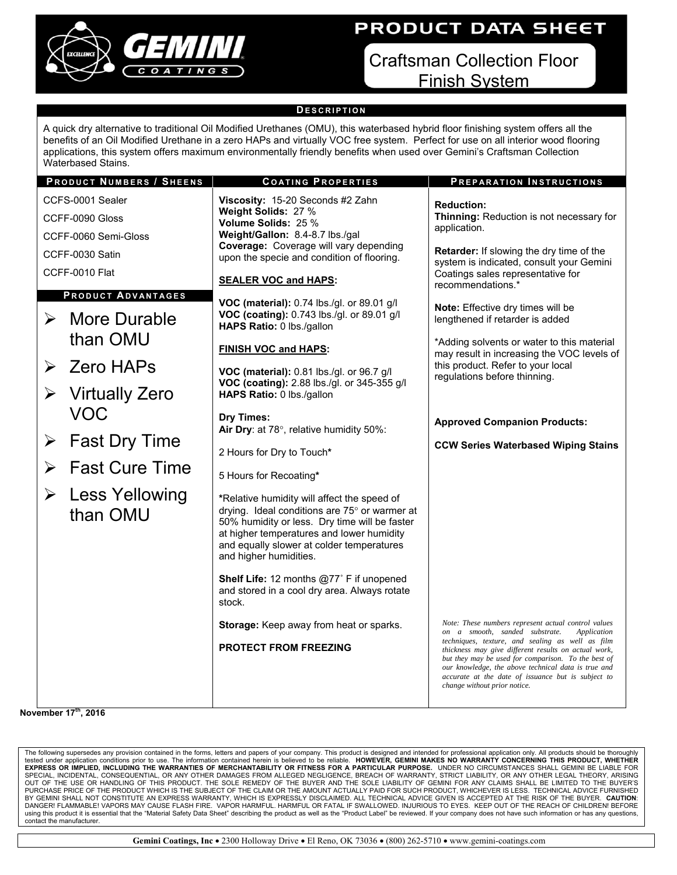

# PRODUCT DATA SHEET

Craftsman Collection Floor Finish System

### **D ESCRIPTION**

A quick dry alternative to traditional Oil Modified Urethanes (OMU), this waterbased hybrid floor finishing system offers all the benefits of an Oil Modified Urethane in a zero HAPs and virtually VOC free system. Perfect for use on all interior wood flooring applications, this system offers maximum environmentally friendly benefits when used over Gemini's Craftsman Collection Waterbased Stains.

#### **P RODUCT NUMBERS / S HEENS C OATING P ROPERTIES P REPARATION I NSTRUCTIONS** CCFS-0001 Sealer CCFF-0090 Gloss CCFF-0060 Semi-Gloss CCFF-0030 Satin CCFF-0010 Flat **Viscosity:** 15-20 Seconds #2 Zahn **Weight Solids:** 27 % **Volume Solids:** 25 % **Weight/Gallon:** 8.4-8.7 lbs./gal **Coverage:** Coverage will vary depending upon the specie and condition of flooring. **SEALER VOC and HAPS: VOC (material):** 0.74 lbs./gl. or 89.01 g/l **VOC (coating):** 0.743 lbs./gl. or 89.01 g/l **HAPS Ratio:** 0 lbs./gallon **FINISH VOC and HAPS: VOC (material):** 0.81 lbs./gl. or 96.7 g/l **VOC (coating):** 2.88 lbs./gl. or 345-355 g/l **HAPS Ratio:** 0 lbs./gallon **Dry Times:**  Air Dry: at 78°, relative humidity 50%: 2 Hours for Dry to Touch**\*** 5 Hours for Recoating**\* \***Relative humidity will affect the speed of drying. Ideal conditions are  $75^\circ$  or warmer at 50% humidity or less. Dry time will be faster at higher temperatures and lower humidity and equally slower at colder temperatures and higher humidities. **Shelf Life:** 12 months @77˚ F if unopened and stored in a cool dry area. Always rotate stock. **Storage:** Keep away from heat or sparks. **PROTECT FROM FREEZING Reduction: Thinning:** Reduction is not necessary for application. **Retarder:** If slowing the dry time of the system is indicated, consult your Gemini Coatings sales representative for recommendations.\* **Note:** Effective dry times will be lengthened if retarder is added \*Adding solvents or water to this material may result in increasing the VOC levels of this product. Refer to your local regulations before thinning. **Approved Companion Products: CCW Series Waterbased Wiping Stains P RODUCT ADVANTAGES**  $\triangleright$  More Durable than OMU  $\triangleright$  7 ero HAPs  $\triangleright$  Virtually Zero VOC  $\triangleright$  Fast Dry Time  $\triangleright$  Fast Cure Time **►** Less Yellowing than OMU **November 17th, 2016**  *Note: These numbers represent actual control values on a smooth, sanded substrate. Application techniques, texture, and sealing as well as film thickness may give different results on actual work, but they may be used for comparison. To the best of our knowledge, the above technical data is true and accurate at the date of issuance but is subject to change without prior notice.*

The following supersedes any provision contained in the forms, letters and papers of your company. This product is designed and intended for professional application only. All products should be thoroughly<br>tested under app BY GEMINI SHALL NOT CONSTITUTE AN EXPRESS WARRANTY, WHICH IS EXPRESSLY DISCLAIMED. ALL TECHNICAL ADVICE GIVEN IS ACCEPTED AT THE RISK OF THE BUYER. **CAUTION**: DANGER! FLAMMABLE! VAPORS MAY CAUSE FLASH FIRE. VAPOR HARMFUL. HARMFUL OR FATAL IF SWALLOWED. INJURIOUS TO EYES. KEEP OUT OF THE REACH OF CHILDREN! BEFORE using this product it is essential that the "Material Safety Data Sheet" describing the product as well as the "Product Label" be reviewed. If your company does not have such information or has any questions, contact the manufacturer.